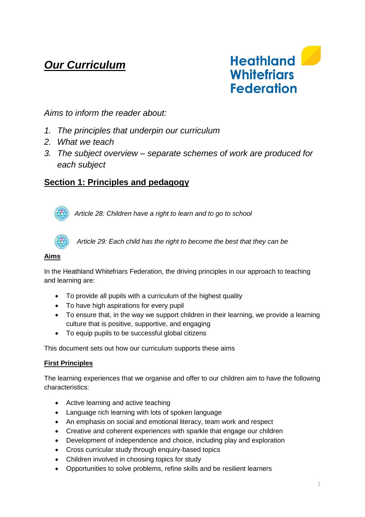# *Our Curriculum*



# *Aims to inform the reader about:*

- *1. The principles that underpin our curriculum*
- *2. What we teach*
- *3. The subject overview – separate schemes of work are produced for each subject*

# **Section 1: Principles and pedagogy**



*Article 28: Children have a right to learn and to go to school*



*Article 29: Each child has the right to become the best that they can be*

#### **Aims**

In the Heathland Whitefriars Federation, the driving principles in our approach to teaching and learning are:

- To provide all pupils with a curriculum of the highest quality
- To have high aspirations for every pupil
- To ensure that, in the way we support children in their learning, we provide a learning culture that is positive, supportive, and engaging
- To equip pupils to be successful global citizens

This document sets out how our curriculum supports these aims

### **First Principles**

The learning experiences that we organise and offer to our children aim to have the following characteristics:

- Active learning and active teaching
- Language rich learning with lots of spoken language
- An emphasis on social and emotional literacy, team work and respect
- Creative and coherent experiences with sparkle that engage our children
- Development of independence and choice, including play and exploration
- Cross curricular study through enquiry-based topics
- Children involved in choosing topics for study
- Opportunities to solve problems, refine skills and be resilient learners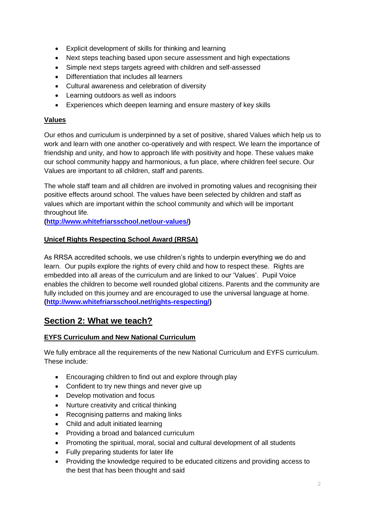- Explicit development of skills for thinking and learning
- Next steps teaching based upon secure assessment and high expectations
- Simple next steps targets agreed with children and self-assessed
- Differentiation that includes all learners
- Cultural awareness and celebration of diversity
- Learning outdoors as well as indoors
- Experiences which deepen learning and ensure mastery of key skills

### **Values**

Our ethos and curriculum is underpinned by a set of positive, shared Values which help us to work and learn with one another co-operatively and with respect. We learn the importance of friendship and unity, and how to approach life with positivity and hope. These values make our school community happy and harmonious, a fun place, where children feel secure. Our Values are important to all children, staff and parents.

The whole staff team and all children are involved in promoting values and recognising their positive effects around school. The values have been selected by children and staff as values which are important within the school community and which will be important throughout life.

**[\(http://www.whitefriarsschool.net/our-values/\)](http://www.whitefriarsschool.net/our-values/)**

### **Unicef Rights Respecting School Award (RRSA)**

As RRSA accredited schools, we use children's rights to underpin everything we do and learn. Our pupils explore the rights of every child and how to respect these. Rights are embedded into all areas of the curriculum and are linked to our 'Values'. Pupil Voice enables the children to become well rounded global citizens. Parents and the community are fully included on this journey and are encouraged to use the universal language at home. **[\(http://www.whitefriarsschool.net/rights-respecting/\)](http://www.whitefriarsschool.net/rights-respecting/)**

# **Section 2: What we teach?**

## **EYFS Curriculum and New National Curriculum**

We fully embrace all the requirements of the new National Curriculum and EYFS curriculum. These include:

- Encouraging children to find out and explore through play
- Confident to try new things and never give up
- Develop motivation and focus
- Nurture creativity and critical thinking
- Recognising patterns and making links
- Child and adult initiated learning
- Providing a broad and balanced curriculum
- Promoting the spiritual, moral, social and cultural development of all students
- Fully preparing students for later life
- Providing the knowledge required to be educated citizens and providing access to the best that has been thought and said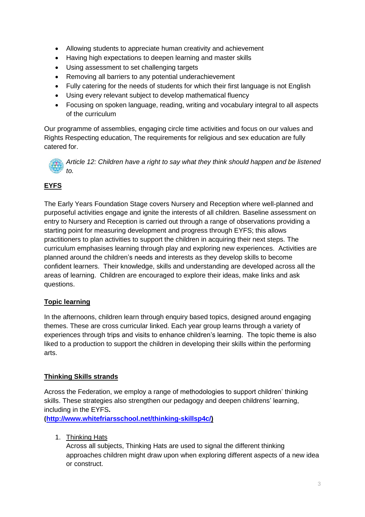- Allowing students to appreciate human creativity and achievement
- Having high expectations to deepen learning and master skills
- Using assessment to set challenging targets
- Removing all barriers to any potential underachievement
- Fully catering for the needs of students for which their first language is not English
- Using every relevant subject to develop mathematical fluency
- Focusing on spoken language, reading, writing and vocabulary integral to all aspects of the curriculum

Our programme of assemblies, engaging circle time activities and focus on our values and Rights Respecting education, The requirements for religious and sex education are fully catered for.

*Article 12: Children have a right to say what they think should happen and be listened to.*

# **EYFS**

The Early Years Foundation Stage covers Nursery and Reception where well-planned and purposeful activities engage and ignite the interests of all children. Baseline assessment on entry to Nursery and Reception is carried out through a range of observations providing a starting point for measuring development and progress through EYFS; this allows practitioners to plan activities to support the children in acquiring their next steps. The curriculum emphasises learning through play and exploring new experiences. Activities are planned around the children's needs and interests as they develop skills to become confident learners. Their knowledge, skills and understanding are developed across all the areas of learning. Children are encouraged to explore their ideas, make links and ask questions.

## **Topic learning**

In the afternoons, children learn through enquiry based topics, designed around engaging themes. These are cross curricular linked. Each year group learns through a variety of experiences through trips and visits to enhance children's learning. The topic theme is also liked to a production to support the children in developing their skills within the performing arts.

### **Thinking Skills strands**

Across the Federation, we employ a range of methodologies to support children' thinking skills. These strategies also strengthen our pedagogy and deepen childrens' learning, including in the EYFS**.** 

**([http://www.whitefriarsschool.net/thinking-skillsp4c/\)](http://www.whitefriarsschool.net/thinking-skillsp4c/)**

1. Thinking Hats

Across all subjects, Thinking Hats are used to signal the different thinking approaches children might draw upon when exploring different aspects of a new idea or construct.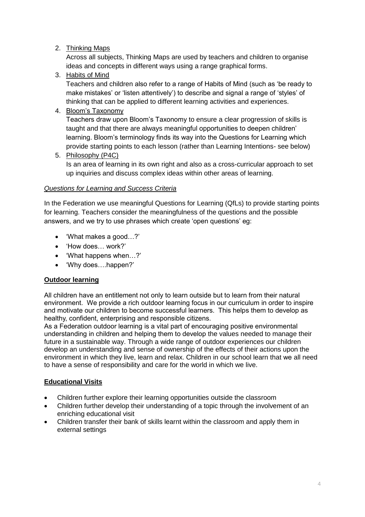### 2. Thinking Maps

Across all subjects, Thinking Maps are used by teachers and children to organise ideas and concepts in different ways using a range graphical forms.

### 3. Habits of Mind

Teachers and children also refer to a range of Habits of Mind (such as 'be ready to make mistakes' or 'listen attentively') to describe and signal a range of 'styles' of thinking that can be applied to different learning activities and experiences.

### 4. Bloom's Taxonomy

Teachers draw upon Bloom's Taxonomy to ensure a clear progression of skills is taught and that there are always meaningful opportunities to deepen children' learning. Bloom's terminology finds its way into the Questions for Learning which provide starting points to each lesson (rather than Learning Intentions- see below)

### 5. Philosophy (P4C)

Is an area of learning in its own right and also as a cross-curricular approach to set up inquiries and discuss complex ideas within other areas of learning.

### *Questions for Learning and Success Criteria*

In the Federation we use meaningful Questions for Learning (QfLs) to provide starting points for learning. Teachers consider the meaningfulness of the questions and the possible answers, and we try to use phrases which create 'open questions' eg:

- 'What makes a good…?'
- 'How does… work?'
- 'What happens when…?'
- 'Why does….happen?'

### **Outdoor learning**

All children have an entitlement not only to learn outside but to learn from their natural environment. We provide a rich outdoor learning focus in our curriculum in order to inspire and motivate our children to become successful learners. This helps them to develop as healthy, confident, enterprising and responsible citizens.

As a Federation outdoor learning is a vital part of encouraging positive environmental understanding in children and helping them to develop the values needed to manage their future in a sustainable way. Through a wide range of outdoor experiences our children develop an understanding and sense of ownership of the effects of their actions upon the environment in which they live, learn and relax. Children in our school learn that we all need to have a sense of responsibility and care for the world in which we live.

### **Educational Visits**

- Children further explore their learning opportunities outside the classroom
- Children further develop their understanding of a topic through the involvement of an enriching educational visit
- Children transfer their bank of skills learnt within the classroom and apply them in external settings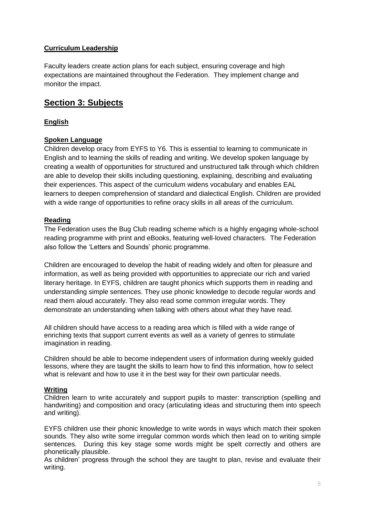### **Curriculum Leadership**

Faculty leaders create action plans for each subject, ensuring coverage and high expectations are maintained throughout the Federation. They implement change and monitor the impact.

# **Section 3: Subjects**

### **English**

### **Spoken Language**

Children develop oracy from EYFS to Y6. This is essential to learning to communicate in English and to learning the skills of reading and writing. We develop spoken language by creating a wealth of opportunities for structured and unstructured talk through which children are able to develop their skills including questioning, explaining, describing and evaluating their experiences. This aspect of the curriculum widens vocabulary and enables EAL learners to deepen comprehension of standard and dialectical English. Children are provided with a wide range of opportunities to refine oracy skills in all areas of the curriculum.

### **Reading**

The Federation uses the Bug Club reading scheme which is a highly engaging whole-school reading programme with print and eBooks, featuring well-loved characters. The Federation also follow the 'Letters and Sounds' phonic programme.

Children are encouraged to develop the habit of reading widely and often for pleasure and information, as well as being provided with opportunities to appreciate our rich and varied literary heritage. In EYFS, children are taught phonics which supports them in reading and understanding simple sentences. They use phonic knowledge to decode regular words and read them aloud accurately. They also read some common irregular words. They demonstrate an understanding when talking with others about what they have read.

All children should have access to a reading area which is filled with a wide range of enriching texts that support current events as well as a variety of genres to stimulate imagination in reading.

Children should be able to become independent users of information during weekly guided lessons, where they are taught the skills to learn how to find this information, how to select what is relevant and how to use it in the best way for their own particular needs.

### **Writing**

Children learn to write accurately and support pupils to master: transcription (spelling and handwriting) and composition and oracy (articulating ideas and structuring them into speech and writing).

EYFS children use their phonic knowledge to write words in ways which match their spoken sounds. They also write some irregular common words which then lead on to writing simple sentences. During this key stage some words might be spelt correctly and others are phonetically plausible.

As children' progress through the school they are taught to plan, revise and evaluate their writing.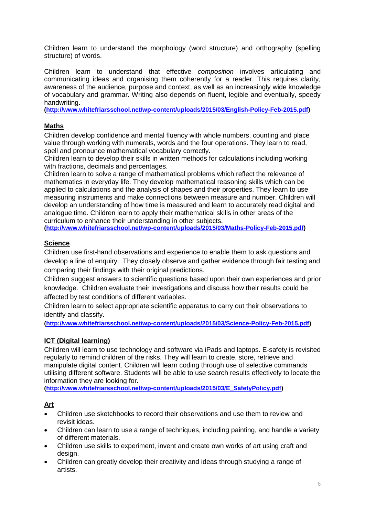Children learn to understand the morphology (word structure) and orthography (spelling structure) of words.

Children learn to understand that effective *composition* involves articulating and communicating ideas and organising them coherently for a reader. This requires clarity, awareness of the audience, purpose and context, as well as an increasingly wide knowledge of vocabulary and grammar. Writing also depends on fluent, legible and eventually, speedy handwriting.

**[\(http://www.whitefriarsschool.net/wp-content/uploads/2015/03/English-Policy-Feb-2015.pdf\)](http://www.whitefriarsschool.net/wp-content/uploads/2015/03/English-Policy-Feb-2015.pdf)**

#### **Maths**

Children develop confidence and mental fluency with whole numbers, counting and place value through working with numerals, words and the four operations. They learn to read, spell and pronounce mathematical vocabulary correctly.

Children learn to develop their skills in written methods for calculations including working with fractions, decimals and percentages.

Children learn to solve a range of mathematical problems which reflect the relevance of mathematics in everyday life. They develop mathematical reasoning skills which can be applied to calculations and the analysis of shapes and their properties. They learn to use measuring instruments and make connections between measure and number. Children will develop an understanding of how time is measured and learn to accurately read digital and analogue time. Children learn to apply their mathematical skills in other areas of the curriculum to enhance their understanding in other subjects.

**[\(http://www.whitefriarsschool.net/wp-content/uploads/2015/03/Maths-Policy-Feb-2015.pdf\)](http://www.whitefriarsschool.net/wp-content/uploads/2015/03/Maths-Policy-Feb-2015.pdf)**

#### **Science**

Children use first-hand observations and experience to enable them to ask questions and develop a line of enquiry. They closely observe and gather evidence through fair testing and comparing their findings with their original predictions.

Children suggest answers to scientific questions based upon their own experiences and prior knowledge. Children evaluate their investigations and discuss how their results could be affected by test conditions of different variables.

Children learn to select appropriate scientific apparatus to carry out their observations to identify and classify.

**[\(http://www.whitefriarsschool.net/wp-content/uploads/2015/03/Science-Policy-Feb-2015.pdf\)](http://www.whitefriarsschool.net/wp-content/uploads/2015/03/Science-Policy-Feb-2015.pdf)**

#### **ICT (Digital learning)**

Children will learn to use technology and software via iPads and laptops. E-safety is revisited regularly to remind children of the risks. They will learn to create, store, retrieve and manipulate digital content. Children will learn coding through use of selective commands utilising different software. Students will be able to use search results effectively to locate the information they are looking for.

**[\(http://www.whitefriarsschool.net/wp-content/uploads/2015/03/E\\_SafetyPolicy.pdf\)](http://www.whitefriarsschool.net/wp-content/uploads/2015/03/E_SafetyPolicy.pdf)**

### **Art**

- Children use sketchbooks to record their observations and use them to review and revisit ideas.
- Children can learn to use a range of techniques, including painting, and handle a variety of different materials.
- Children use skills to experiment, invent and create own works of art using craft and design.
- Children can greatly develop their creativity and ideas through studying a range of artists.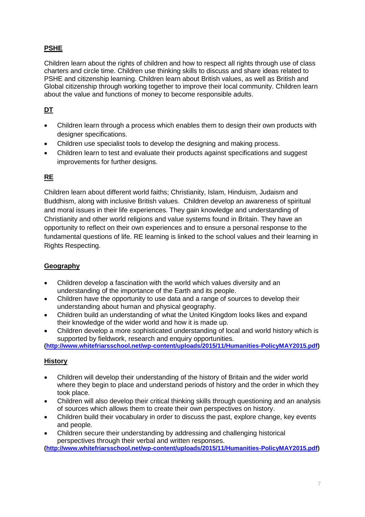# **PSHE**

Children learn about the rights of children and how to respect all rights through use of class charters and circle time. Children use thinking skills to discuss and share ideas related to PSHE and citizenship learning. Children learn about British values, as well as British and Global citizenship through working together to improve their local community. Children learn about the value and functions of money to become responsible adults.

# **DT**

- Children learn through a process which enables them to design their own products with designer specifications.
- Children use specialist tools to develop the designing and making process.
- Children learn to test and evaluate their products against specifications and suggest improvements for further designs.

# **RE**

Children learn about different world faiths; Christianity, Islam, Hinduism, Judaism and Buddhism, along with inclusive British values. Children develop an awareness of spiritual and moral issues in their life experiences. They gain knowledge and understanding of Christianity and other world religions and value systems found in Britain. They have an opportunity to reflect on their own experiences and to ensure a personal response to the fundamental questions of life. RE learning is linked to the school values and their learning in Rights Respecting.

## **Geography**

- Children develop a fascination with the world which values diversity and an understanding of the importance of the Earth and its people.
- Children have the opportunity to use data and a range of sources to develop their understanding about human and physical geography.
- Children build an understanding of what the United Kingdom looks likes and expand their knowledge of the wider world and how it is made up.
- Children develop a more sophisticated understanding of local and world history which is supported by fieldwork, research and enquiry opportunities.

**[\(http://www.whitefriarsschool.net/wp-content/uploads/2015/11/Humanities-PolicyMAY2015.pdf\)](http://www.whitefriarsschool.net/wp-content/uploads/2015/11/Humanities-PolicyMAY2015.pdf)**

### **History**

- Children will develop their understanding of the history of Britain and the wider world where they begin to place and understand periods of history and the order in which they took place.
- Children will also develop their critical thinking skills through questioning and an analysis of sources which allows them to create their own perspectives on history.
- Children build their vocabulary in order to discuss the past, explore change, key events and people.
- Children secure their understanding by addressing and challenging historical perspectives through their verbal and written responses.

**[\(http://www.whitefriarsschool.net/wp-content/uploads/2015/11/Humanities-PolicyMAY2015.pdf\)](http://www.whitefriarsschool.net/wp-content/uploads/2015/11/Humanities-PolicyMAY2015.pdf)**